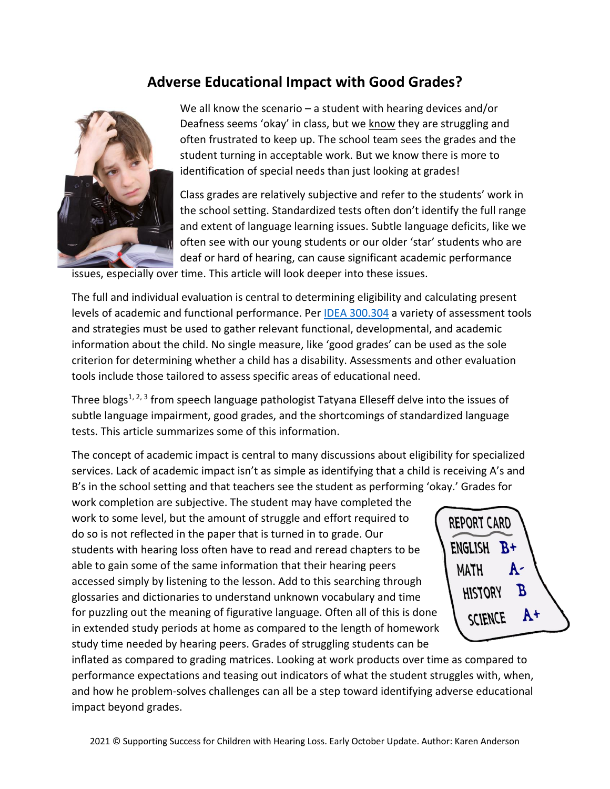## **Adverse Educational Impact with Good Grades?**



We all know the scenario  $-$  a student with hearing devices and/or Deafness seems 'okay' in class, but we know they are struggling and often frustrated to keep up. The school team sees the grades and the student turning in acceptable work. But we know there is more to identification of special needs than just looking at grades!

Class grades are relatively subjective and refer to the students' work in the school setting. Standardized tests often don't identify the full range and extent of language learning issues. Subtle language deficits, like we often see with our young students or our older 'star' students who are deaf or hard of hearing, can cause significant academic performance

issues, especially over time. This article will look deeper into these issues.

The full and individual evaluation is central to determining eligibility and calculating present levels of academic and functional performance. Per [IDEA 300.304](https://sites.ed.gov/idea/regs/b/d/300.304) a variety of assessment tools and strategies must be used to gather relevant functional, developmental, and academic information about the child. No single measure, like 'good grades' can be used as the sole criterion for determining whether a child has a disability. Assessments and other evaluation tools include those tailored to assess specific areas of educational need.

Three blogs<sup>1, 2, 3</sup> from speech language pathologist Tatyana Elleseff delve into the issues of subtle language impairment, good grades, and the shortcomings of standardized language tests. This article summarizes some of this information.

The concept of academic impact is central to many discussions about eligibility for specialized services. Lack of academic impact isn't as simple as identifying that a child is receiving A's and B's in the school setting and that teachers see the student as performing 'okay.' Grades for

work completion are subjective. The student may have completed the work to some level, but the amount of struggle and effort required to do so is not reflected in the paper that is turned in to grade. Our students with hearing loss often have to read and reread chapters to be able to gain some of the same information that their hearing peers accessed simply by listening to the lesson. Add to this searching through glossaries and dictionaries to understand unknown vocabulary and time for puzzling out the meaning of figurative language. Often all of this is done in extended study periods at home as compared to the length of homework study time needed by hearing peers. Grades of struggling students can be



inflated as compared to grading matrices. Looking at work products over time as compared to performance expectations and teasing out indicators of what the student struggles with, when, and how he problem-solves challenges can all be a step toward identifying adverse educational impact beyond grades.